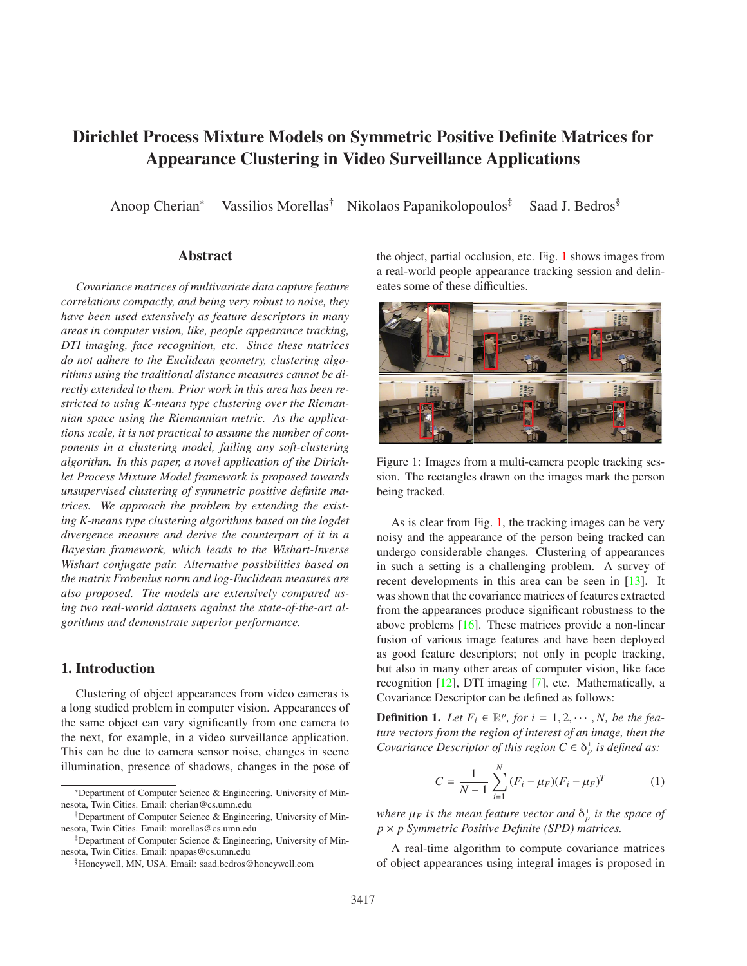# <span id="page-0-1"></span>**Dirichlet Process Mixture Models on Symmetric Positive Definite Matrices for Appearance Clustering in Video Surveillance Applications**

Anoop Cherian<sup>∗</sup> Vassilios Morellas† Nikolaos Papanikolopoulos‡ Saad J. Bedros§

# **Abstract**

*Covariance matrices of multivariate data capture feature correlations compactly, and being very robust to noise, they have been used extensively as feature descriptors in many areas in computer vision, like, people appearance tracking, DTI imaging, face recognition, etc. Since these matrices do not adhere to the Euclidean geometry, clustering algorithms using the traditional distance measures cannot be directly extended to them. Prior work in this area has been restricted to using K-means type clustering over the Riemannian space using the Riemannian metric. As the applications scale, it is not practical to assume the number of components in a clustering model, failing any soft-clustering algorithm. In this paper, a novel application of the Dirichlet Process Mixture Model framework is proposed towards unsupervised clustering of symmetric positive definite matrices. We approach the problem by extending the existing K-means type clustering algorithms based on the logdet divergence measure and derive the counterpart of it in a Bayesian framework, which leads to the Wishart-Inverse Wishart conjugate pair. Alternative possibilities based on the matrix Frobenius norm and log-Euclidean measures are also proposed. The models are extensively compared using two real-world datasets against the state-of-the-art algorithms and demonstrate superior performance.*

### **1. Introduction**

Clustering of object appearances from video cameras is a long studied problem in computer vision. Appearances of the same object can vary significantly from one camera to the next, for example, in a video surveillance application. This can be due to camera sensor noise, changes in scene illumination, presence of shadows, changes in the pose of the object, partial occlusion, etc. Fig. [1](#page-0-0) shows images from a real-world people appearance tracking session and delineates some of these difficulties.

<span id="page-0-0"></span>

Figure 1: Images from a multi-camera people tracking session. The rectangles drawn on the images mark the person being tracked.

As is clear from Fig. [1,](#page-0-0) the tracking images can be very noisy and the appearance of the person being tracked can undergo considerable changes. Clustering of appearances in such a setting is a challenging problem. A survey of recent developments in this area can be seen in [\[13\]](#page-7-0). It was shown that the covariance matrices of features extracted from the appearances produce significant robustness to the above problems [\[16\]](#page-7-1). These matrices provide a non-linear fusion of various image features and have been deployed as good feature descriptors; not only in people tracking, but also in many other areas of computer vision, like face recognition [\[12\]](#page-7-2), DTI imaging [\[7\]](#page-7-3), etc. Mathematically, a Covariance Descriptor can be defined as follows:

**Definition 1.** Let  $F_i \in \mathbb{R}^p$ , for  $i = 1, 2, \dots, N$ , be the fea*ture vectors from the region of interest of an image, then the Covariance Descriptor of this region*  $C \in \delta_p^+$  *is defined as:* 

$$
C = \frac{1}{N-1} \sum_{i=1}^{N} (F_i - \mu_F)(F_i - \mu_F)^T
$$
 (1)

where  $\mu_F$  is the mean feature vector and  $\delta_p^+$  is the space of *p* × *p Symmetric Positive Definite (SPD) matrices.*

A real-time algorithm to compute covariance matrices of object appearances using integral images is proposed in

<sup>∗</sup>Department of Computer Science & Engineering, University of Minnesota, Twin Cities. Email: cherian@cs.umn.edu

<sup>†</sup>Department of Computer Science & Engineering, University of Minnesota, Twin Cities. Email: morellas@cs.umn.edu

<sup>‡</sup>Department of Computer Science & Engineering, University of Minnesota, Twin Cities. Email: npapas@cs.umn.edu

<sup>§</sup>Honeywell, MN, USA. Email: saad.bedros@honeywell.com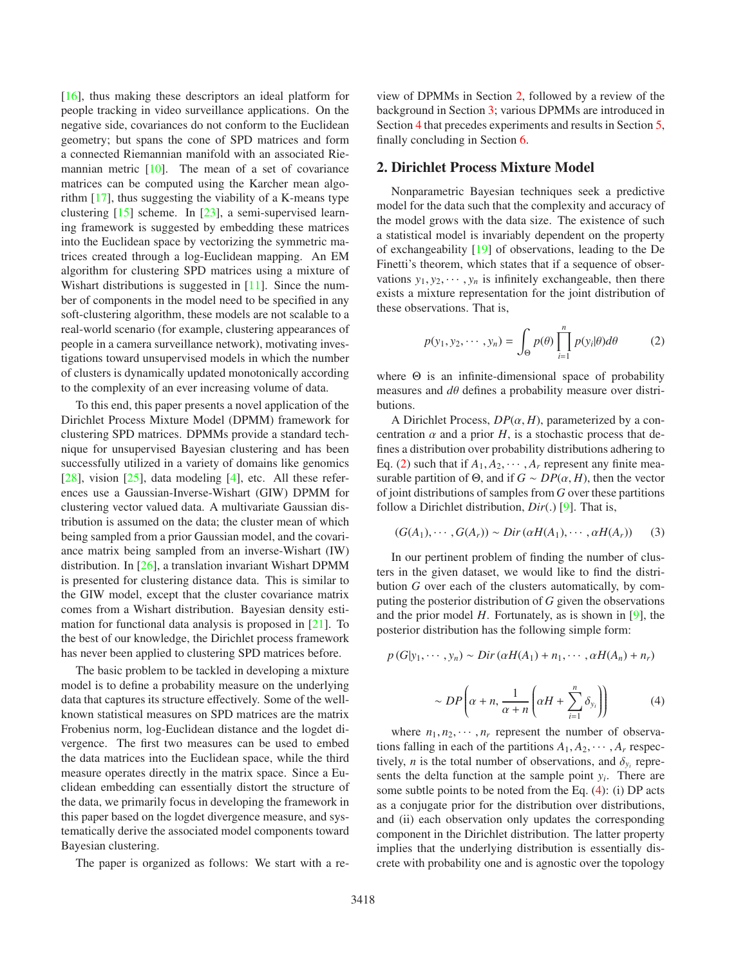<span id="page-1-3"></span>[\[16\]](#page-7-1), thus making these descriptors an ideal platform for people tracking in video surveillance applications. On the negative side, covariances do not conform to the Euclidean geometry; but spans the cone of SPD matrices and form a connected Riemannian manifold with an associated Riemannian metric [\[10\]](#page-7-4). The mean of a set of covariance matrices can be computed using the Karcher mean algorithm [\[17\]](#page-7-5), thus suggesting the viability of a K-means type clustering [\[15\]](#page-7-6) scheme. In [\[23\]](#page-7-7), a semi-supervised learning framework is suggested by embedding these matrices into the Euclidean space by vectorizing the symmetric matrices created through a log-Euclidean mapping. An EM algorithm for clustering SPD matrices using a mixture of Wishart distributions is suggested in [\[11\]](#page-7-8). Since the number of components in the model need to be specified in any soft-clustering algorithm, these models are not scalable to a real-world scenario (for example, clustering appearances of people in a camera surveillance network), motivating investigations toward unsupervised models in which the number of clusters is dynamically updated monotonically according to the complexity of an ever increasing volume of data.

To this end, this paper presents a novel application of the Dirichlet Process Mixture Model (DPMM) framework for clustering SPD matrices. DPMMs provide a standard technique for unsupervised Bayesian clustering and has been successfully utilized in a variety of domains like genomics [\[28\]](#page-7-9), vision [\[25\]](#page-7-10), data modeling [\[4\]](#page-7-11), etc. All these references use a Gaussian-Inverse-Wishart (GIW) DPMM for clustering vector valued data. A multivariate Gaussian distribution is assumed on the data; the cluster mean of which being sampled from a prior Gaussian model, and the covariance matrix being sampled from an inverse-Wishart (IW) distribution. In [\[26\]](#page-7-12), a translation invariant Wishart DPMM is presented for clustering distance data. This is similar to the GIW model, except that the cluster covariance matrix comes from a Wishart distribution. Bayesian density estimation for functional data analysis is proposed in [\[21\]](#page-7-13). To the best of our knowledge, the Dirichlet process framework has never been applied to clustering SPD matrices before.

The basic problem to be tackled in developing a mixture model is to define a probability measure on the underlying data that captures its structure effectively. Some of the wellknown statistical measures on SPD matrices are the matrix Frobenius norm, log-Euclidean distance and the logdet divergence. The first two measures can be used to embed the data matrices into the Euclidean space, while the third measure operates directly in the matrix space. Since a Euclidean embedding can essentially distort the structure of the data, we primarily focus in developing the framework in this paper based on the logdet divergence measure, and systematically derive the associated model components toward Bayesian clustering.

The paper is organized as follows: We start with a re-

view of DPMMs in Section [2,](#page-1-0) followed by a review of the background in Section [3;](#page-2-0) various DPMMs are introduced in Section [4](#page-2-1) that precedes experiments and results in Section [5,](#page-3-0) finally concluding in Section [6.](#page-6-0)

### <span id="page-1-0"></span>**2. Dirichlet Process Mixture Model**

Nonparametric Bayesian techniques seek a predictive model for the data such that the complexity and accuracy of the model grows with the data size. The existence of such a statistical model is invariably dependent on the property of exchangeability [\[19\]](#page-7-14) of observations, leading to the De Finetti's theorem, which states that if a sequence of observations  $y_1, y_2, \dots, y_n$  is infinitely exchangeable, then there exists a mixture representation for the joint distribution of these observations. That is,

<span id="page-1-1"></span>
$$
p(y_1, y_2, \cdots, y_n) = \int_{\Theta} p(\theta) \prod_{i=1}^n p(y_i | \theta) d\theta \qquad (2)
$$

where  $\Theta$  is an infinite-dimensional space of probability measures and *d*θ defines a probability measure over distributions.

A Dirichlet Process,  $DP(\alpha, H)$ , parameterized by a concentration  $\alpha$  and a prior  $H$ , is a stochastic process that defines a distribution over probability distributions adhering to Eq. [\(2\)](#page-1-1) such that if  $A_1, A_2, \cdots, A_r$  represent any finite measurable partition of  $\Theta$ , and if  $G \sim DP(\alpha, H)$ , then the vector of joint distributions of samples from *G* over these partitions follow a Dirichlet distribution, *Dir*(.) [\[9\]](#page-7-15). That is,

$$
(G(A_1), \cdots, G(A_r)) \sim Dir(\alpha H(A_1), \cdots, \alpha H(A_r))
$$
 (3)

In our pertinent problem of finding the number of clusters in the given dataset, we would like to find the distribution *G* over each of the clusters automatically, by computing the posterior distribution of *G* given the observations and the prior model *H*. Fortunately, as is shown in [\[9\]](#page-7-15), the posterior distribution has the following simple form:

<span id="page-1-2"></span>
$$
p(G|y_1,\cdots,y_n) \sim Dir(\alpha H(A_1)+n_1,\cdots,\alpha H(A_n)+n_r)
$$

$$
\sim DP\bigg(\alpha + n, \frac{1}{\alpha + n}\bigg(\alpha H + \sum_{i=1}^{n} \delta_{y_i}\bigg)\bigg) \tag{4}
$$

where  $n_1, n_2, \dots, n_r$  represent the number of observations falling in each of the partitions  $A_1, A_2, \cdots, A_r$  respectively, *n* is the total number of observations, and  $\delta_{y_i}$  represents the delta function at the sample point  $y_i$ . There are some subtle points to be noted from the Eq. [\(4\)](#page-1-2): (i) DP acts as a conjugate prior for the distribution over distributions, and (ii) each observation only updates the corresponding component in the Dirichlet distribution. The latter property implies that the underlying distribution is essentially discrete with probability one and is agnostic over the topology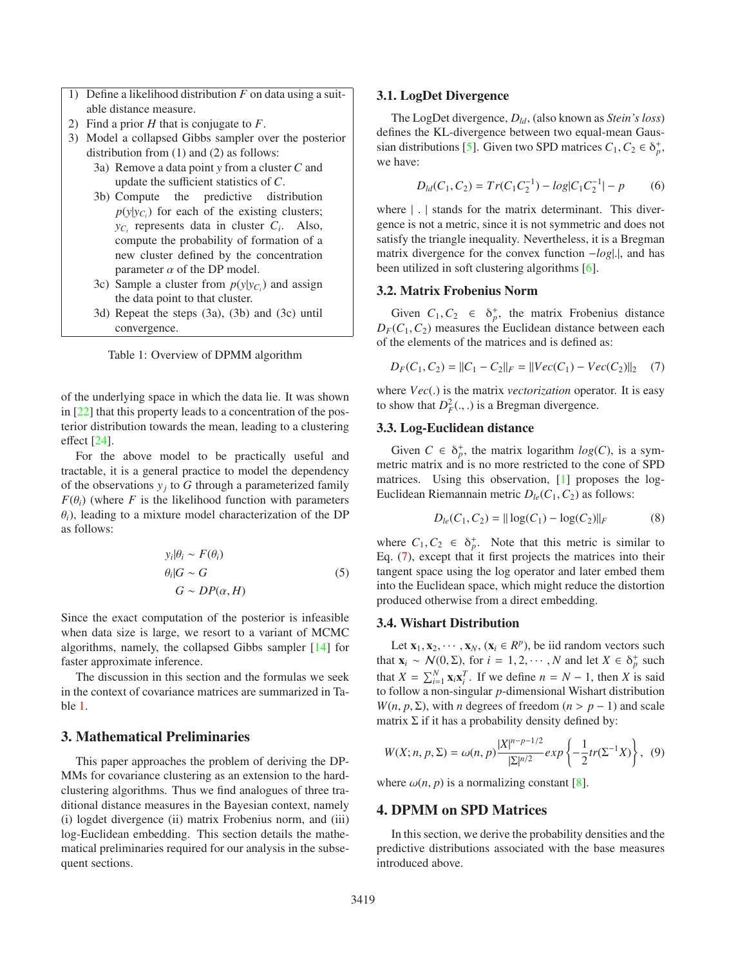- <span id="page-2-5"></span><span id="page-2-2"></span>1) Define a likelihood distribution *F* on data using a suitable distance measure.
- 2) Find a prior *H* that is conjugate to *F*.
- 3) Model a collapsed Gibbs sampler over the posterior distribution from (1) and (2) as follows:
	- 3a) Remove a data point *y* from a cluster *C* and update the sufficient statistics of *C*.
	- 3b) Compute the predictive distribution  $p(y|y_{C_i})$  for each of the existing clusters;  $y_{C_i}$  represents data in cluster  $C_i$ . Also, compute the probability of formation of a new cluster defined by the concentration parameter  $\alpha$  of the DP model.
	- 3c) Sample a cluster from  $p(y|y_{C_i})$  and assign the data point to that cluster.
	- 3d) Repeat the steps (3a), (3b) and (3c) until convergence.

Table 1: Overview of DPMM algorithm

of the underlying space in which the data lie. It was shown in [\[22\]](#page-7-16) that this property leads to a concentration of the posterior distribution towards the mean, leading to a clustering effect [\[24\]](#page-7-17).

For the above model to be practically useful and tractable, it is a general practice to model the dependency of the observations *y<sup>j</sup>* to *G* through a parameterized family  $F(\theta_i)$  (where *F* is the likelihood function with parameters  $\theta_i$ ), leading to a mixture model characterization of the DP as follows:

$$
y_i|\theta_i \sim F(\theta_i)
$$
  
\n
$$
\theta_i|G \sim G
$$
  
\n
$$
G \sim DP(\alpha, H)
$$
 (5)

Since the exact computation of the posterior is infeasible when data size is large, we resort to a variant of MCMC algorithms, namely, the collapsed Gibbs sampler [\[14\]](#page-7-18) for faster approximate inference.

The discussion in this section and the formulas we seek in the context of covariance matrices are summarized in Table [1.](#page-2-2)

# <span id="page-2-0"></span>**3. Mathematical Preliminaries**

This paper approaches the problem of deriving the DP-MMs for covariance clustering as an extension to the hardclustering algorithms. Thus we find analogues of three traditional distance measures in the Bayesian context, namely (i) logdet divergence (ii) matrix Frobenius norm, and (iii) log-Euclidean embedding. This section details the mathematical preliminaries required for our analysis in the subsequent sections.

### **3.1. LogDet Divergence**

The LogDet divergence, *Dld*, (also known as *Stein's loss*) defines the KL-divergence between two equal-mean Gaus-sian distributions [\[5\]](#page-7-19). Given two SPD matrices  $C_1, C_2 \in \delta_p^+$ , we have:

$$
D_{ld}(C_1, C_2) = Tr(C_1 C_2^{-1}) - log|C_1 C_2^{-1}| - p \tag{6}
$$

where  $\vert$ .  $\vert$  stands for the matrix determinant. This divergence is not a metric, since it is not symmetric and does not satisfy the triangle inequality. Nevertheless, it is a Bregman matrix divergence for the convex function −*log*|.|, and has been utilized in soft clustering algorithms [\[6\]](#page-7-20).

### **3.2. Matrix Frobenius Norm**

Given  $C_1, C_2 \in \delta_p^+$ , the matrix Frobenius distance  $D_F(C_1, C_2)$  measures the Euclidean distance between each of the elements of the matrices and is defined as:

<span id="page-2-3"></span>
$$
D_F(C_1, C_2) = ||C_1 - C_2||_F = ||Vec(C_1) - Vec(C_2)||_2 \quad (7)
$$

where *Vec*(.) is the matrix *vectorization* operator. It is easy to show that  $D_F^2(.,.)$  is a Bregman divergence.

### **3.3. Log-Euclidean distance**

Given  $C \in \delta_p^+$ , the matrix logarithm  $log(C)$ , is a symmetric matrix and is no more restricted to the cone of SPD matrices. Using this observation, [\[1\]](#page-7-21) proposes the log-Euclidean Riemannain metric  $D_{le}(C_1, C_2)$  as follows:

<span id="page-2-4"></span>
$$
D_{le}(C_1, C_2) = ||\log(C_1) - \log(C_2)||_F
$$
 (8)

where  $C_1, C_2 \in \delta_p^+$ . Note that this metric is similar to Eq. [\(7\)](#page-2-3), except that it first projects the matrices into their tangent space using the log operator and later embed them into the Euclidean space, which might reduce the distortion produced otherwise from a direct embedding.

### **3.4. Wishart Distribution**

Let  $\mathbf{x}_1, \mathbf{x}_2, \cdots, \mathbf{x}_N, (\mathbf{x}_i \in R^p)$ , be iid random vectors such that  $\mathbf{x}_i \sim \mathcal{N}(0, \Sigma)$ , for  $i = 1, 2, \cdots, N$  and let  $X \in \delta_p^+$  such that  $X = \sum_{i=1}^{N} \mathbf{x}_i \mathbf{x}_i^T$ . If we define  $n = N - 1$ , then *X* is said to follow a non-singular *p*-dimensional Wishart distribution  $W(n, p, \Sigma)$ , with *n* degrees of freedom  $(n > p - 1)$  and scale matrix  $\Sigma$  if it has a probability density defined by:

$$
W(X; n, p, \Sigma) = \omega(n, p) \frac{|X|^{n-p-1/2}}{|\Sigma|^{n/2}} exp\left\{-\frac{1}{2}tr(\Sigma^{-1}X)\right\}, (9)
$$

<span id="page-2-1"></span>where  $\omega(n, p)$  is a normalizing constant [\[8\]](#page-7-22).

# **4. DPMM on SPD Matrices**

In this section, we derive the probability densities and the predictive distributions associated with the base measures introduced above.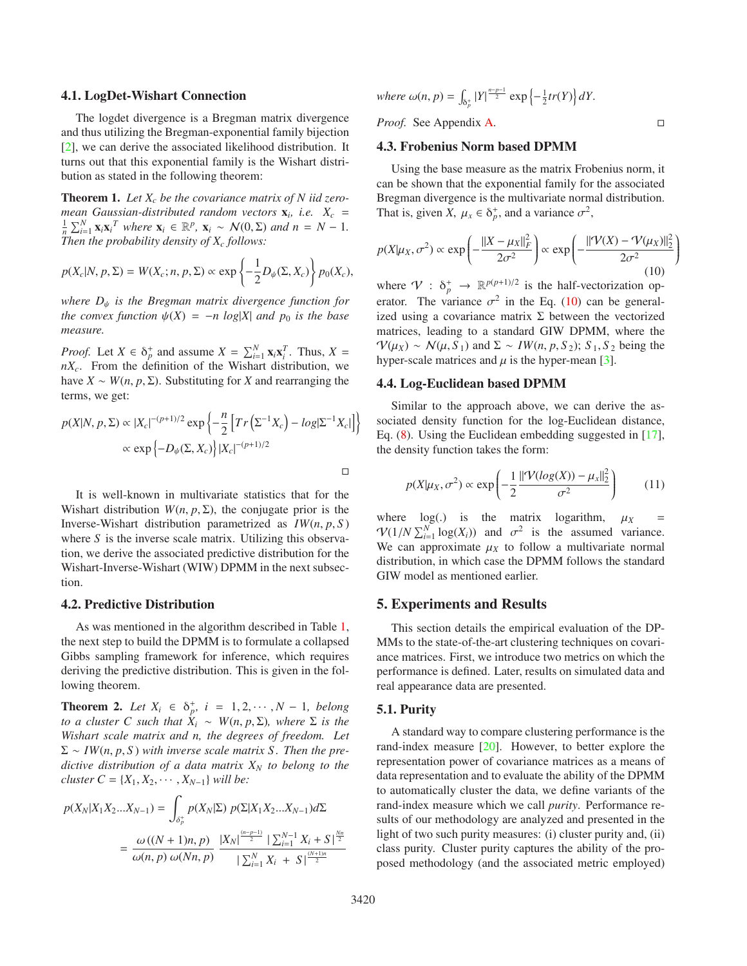#### <span id="page-3-2"></span>**4.1. LogDet-Wishart Connection**

The logdet divergence is a Bregman matrix divergence and thus utilizing the Bregman-exponential family bijection [\[2\]](#page-7-23), we can derive the associated likelihood distribution. It turns out that this exponential family is the Wishart distribution as stated in the following theorem:

**Theorem 1.** *Let X<sup>c</sup> be the covariance matrix of N iid zeromean Gaussian-distributed random vectors*  $\mathbf{x}_i$ , *i.e.*  $X_c$  =  $\frac{1}{n}\sum_{i=1}^{N} \mathbf{x}_i \mathbf{x}_i^T$  where  $\mathbf{x}_i \in \mathbb{R}^p$ ,  $\mathbf{x}_i \sim \mathcal{N}(0, \Sigma)$  and  $n = N - 1$ . *Then the probability density of X<sup>c</sup> follows:*

$$
p(X_c|N, p, \Sigma) = W(X_c; n, p, \Sigma) \propto \exp\left\{-\frac{1}{2}D_{\psi}(\Sigma, X_c)\right\} p_0(X_c),
$$

*where D*<sup>ψ</sup> *is the Bregman matrix divergence function for the convex function*  $\psi(X) = -n \log |X|$  *and*  $p_0$  *is the base measure.*

*Proof.* Let  $X \in \delta_p^+$  and assume  $X = \sum_{i=1}^N \mathbf{x}_i \mathbf{x}_i^T$ . Thus,  $X =$  $nX_c$ . From the definition of the Wishart distribution, we have *X* ∼ *W*(*n*, *p*, Σ). Substituting for *X* and rearranging the terms, we get:

$$
p(X|N, p, \Sigma) \propto |X_c|^{-(p+1)/2} \exp\left\{-\frac{n}{2} \left[Tr\left(\Sigma^{-1}X_c\right) - log|\Sigma^{-1}X_c|\right]\right\}
$$

$$
\propto \exp\left\{-D_{\psi}(\Sigma, X_c)\right\} |X_c|^{-(p+1)/2}
$$

It is well-known in multivariate statistics that for the Wishart distribution  $W(n, p, \Sigma)$ , the conjugate prior is the Inverse-Wishart distribution parametrized as  $IW(n, p, S)$ where *S* is the inverse scale matrix. Utilizing this observation, we derive the associated predictive distribution for the Wishart-Inverse-Wishart (WIW) DPMM in the next subsection.

#### **4.2. Predictive Distribution**

As was mentioned in the algorithm described in Table [1,](#page-2-2) the next step to build the DPMM is to formulate a collapsed Gibbs sampling framework for inference, which requires deriving the predictive distribution. This is given in the following theorem.

**Theorem 2.** *Let*  $X_i \in \delta_p^+, i = 1, 2, \dots, N - 1$ *, belong to a cluster C such that*  $\dot{X}_i \sim W(n, p, \Sigma)$ *, where*  $\Sigma$  *is the Wishart scale matrix and n, the degrees of freedom. Let*  $\Sigma \sim IW(n, p, S)$  with inverse scale matrix S. Then the pre*dictive distribution of a data matrix*  $X_N$  to belong to the *cluster*  $C = \{X_1, X_2, \cdots, X_{N-1}\}$  *will be:* 

$$
p(X_N|X_1X_2...X_{N-1}) = \int_{\delta_p^+} p(X_N|\Sigma) p(\Sigma|X_1X_2...X_{N-1})d\Sigma
$$
  
= 
$$
\frac{\omega((N+1)n, p)}{\omega(n, p) \omega(Nn, p)} \frac{|X_N|^{\frac{(n-p-1)}{2}} |\Sigma_{i=1}^{N-1} X_i + S|^{\frac{Nn}{2}}}{|\Sigma_{i=1}^N X_i + S|^{\frac{(N+1)n}{2}}}
$$

where 
$$
\omega(n, p) = \int_{\delta_p^+} |Y|^{\frac{n-p-1}{2}} \exp\left\{-\frac{1}{2}tr(Y)\right\} dY.
$$

*Proof.* See Appendix **A**. □

### **4.3. Frobenius Norm based DPMM**

Using the base measure as the matrix Frobenius norm, it can be shown that the exponential family for the associated Bregman divergence is the multivariate normal distribution. That is, given *X*,  $\mu_x \in \delta_p^+$ , and a variance  $\sigma^2$ ,

<span id="page-3-1"></span>
$$
p(X|\mu_X, \sigma^2) \propto \exp\left(-\frac{\|X - \mu_X\|_F^2}{2\sigma^2}\right) \propto \exp\left(-\frac{\|\mathcal{V}(X) - \mathcal{V}(\mu_X)\|_2^2}{2\sigma^2}\right)
$$
(10)

where  $\mathcal{V}: \delta_p^+ \to \mathbb{R}^{p(p+1)/2}$  is the half-vectorization operator. The variance  $\sigma^2$  in the Eq. [\(10\)](#page-3-1) can be generalized using a covariance matrix  $\Sigma$  between the vectorized matrices, leading to a standard GIW DPMM, where the  $V(\mu_X) \sim N(\mu, S_1)$  and  $\Sigma \sim I W(n, p, S_2)$ ;  $S_1, S_2$  being the hyper-scale matrices and  $\mu$  is the hyper-mean [\[3\]](#page-7-25).

#### **4.4. Log-Euclidean based DPMM**

Similar to the approach above, we can derive the associated density function for the log-Euclidean distance, Eq. [\(8\)](#page-2-4). Using the Euclidean embedding suggested in [\[17\]](#page-7-5), the density function takes the form:

$$
p(X|\mu_X, \sigma^2) \propto \exp\left(-\frac{1}{2} \frac{\|\mathcal{V}(log(X)) - \mu_X\|_2^2}{\sigma^2}\right) \tag{11}
$$

where  $log(.)$  is the matrix logarithm,  $\mu_X$  =  $V(1/N \sum_{i=1}^{N} \log(X_i))$  and  $\sigma^2$  is the assumed variance. We can approximate  $\mu_X$  to follow a multivariate normal distribution, in which case the DPMM follows the standard GIW model as mentioned earlier.

### <span id="page-3-0"></span>**5. Experiments and Results**

This section details the empirical evaluation of the DP-MMs to the state-of-the-art clustering techniques on covariance matrices. First, we introduce two metrics on which the performance is defined. Later, results on simulated data and real appearance data are presented.

#### **5.1. Purity**

A standard way to compare clustering performance is the rand-index measure [\[20\]](#page-7-26). However, to better explore the representation power of covariance matrices as a means of data representation and to evaluate the ability of the DPMM to automatically cluster the data, we define variants of the rand-index measure which we call *purity*. Performance results of our methodology are analyzed and presented in the light of two such purity measures: (i) cluster purity and, (ii) class purity. Cluster purity captures the ability of the proposed methodology (and the associated metric employed)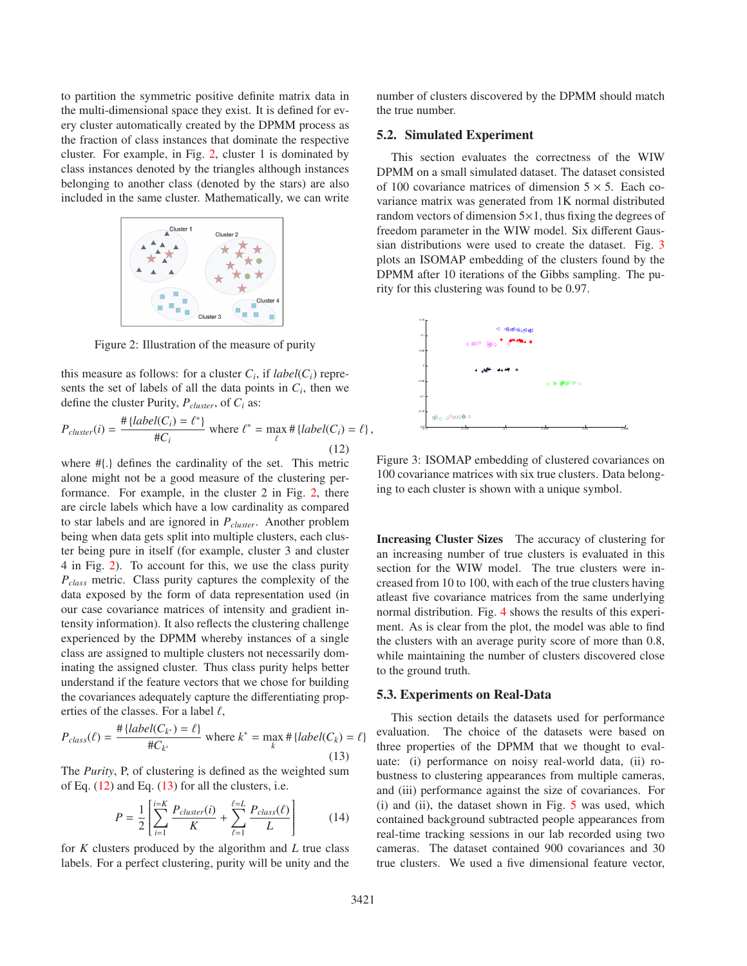to partition the symmetric positive definite matrix data in the multi-dimensional space they exist. It is defined for every cluster automatically created by the DPMM process as the fraction of class instances that dominate the respective cluster. For example, in Fig. [2,](#page-4-0) cluster 1 is dominated by class instances denoted by the triangles although instances belonging to another class (denoted by the stars) are also included in the same cluster. Mathematically, we can write

<span id="page-4-0"></span>

Figure 2: Illustration of the measure of purity

this measure as follows: for a cluster  $C_i$ , if  $label(C_i)$  represents the set of labels of all the data points in  $C_i$ , then we define the cluster Purity, *Pcluster*, of *C<sup>i</sup>* as:

$$
P_{cluster}(i) = \frac{\# \{label(C_i) = \ell^*\}}{\#C_i} \text{ where } \ell^* = \max_{\ell} \# \{label(C_i) = \ell\} \,,
$$
\n(12)

where #{.} defines the cardinality of the set. This metric alone might not be a good measure of the clustering performance. For example, in the cluster 2 in Fig. [2,](#page-4-0) there are circle labels which have a low cardinality as compared to star labels and are ignored in *Pcluster*. Another problem being when data gets split into multiple clusters, each cluster being pure in itself (for example, cluster 3 and cluster 4 in Fig. [2\)](#page-4-0). To account for this, we use the class purity *Pclass* metric. Class purity captures the complexity of the data exposed by the form of data representation used (in our case covariance matrices of intensity and gradient intensity information). It also reflects the clustering challenge experienced by the DPMM whereby instances of a single class are assigned to multiple clusters not necessarily dominating the assigned cluster. Thus class purity helps better understand if the feature vectors that we chose for building the covariances adequately capture the differentiating properties of the classes. For a label  $\ell$ ,

$$
P_{class}(\ell) = \frac{\# \{label(C_{k^*}) = \ell\}}{\#C_{k^*}} \text{ where } k^* = \max_{k} \# \{label(C_k) = \ell\} \tag{13}
$$

The *Purity*, P, of clustering is defined as the weighted sum of Eq.  $(12)$  and Eq.  $(13)$  for all the clusters, i.e.

$$
P = \frac{1}{2} \left[ \sum_{i=1}^{i=K} \frac{P_{cluster}(i)}{K} + \sum_{\ell=1}^{\ell=L} \frac{P_{class}(\ell)}{L} \right] \tag{14}
$$

for *K* clusters produced by the algorithm and *L* true class labels. For a perfect clustering, purity will be unity and the number of clusters discovered by the DPMM should match the true number.

### **5.2. Simulated Experiment**

This section evaluates the correctness of the WIW DPMM on a small simulated dataset. The dataset consisted of 100 covariance matrices of dimension  $5 \times 5$ . Each covariance matrix was generated from 1K normal distributed random vectors of dimension  $5 \times 1$ , thus fixing the degrees of freedom parameter in the WIW model. Six different Gaussian distributions were used to create the dataset. Fig. [3](#page-4-3) plots an ISOMAP embedding of the clusters found by the DPMM after 10 iterations of the Gibbs sampling. The purity for this clustering was found to be 0.97.

<span id="page-4-3"></span>

<span id="page-4-1"></span>Figure 3: ISOMAP embedding of clustered covariances on 100 covariance matrices with six true clusters. Data belonging to each cluster is shown with a unique symbol.

**Increasing Cluster Sizes** The accuracy of clustering for an increasing number of true clusters is evaluated in this section for the WIW model. The true clusters were increased from 10 to 100, with each of the true clusters having atleast five covariance matrices from the same underlying normal distribution. Fig. [4](#page-5-0) shows the results of this experiment. As is clear from the plot, the model was able to find the clusters with an average purity score of more than 0.8, while maintaining the number of clusters discovered close to the ground truth.

#### **5.3. Experiments on Real-Data**

<span id="page-4-2"></span>This section details the datasets used for performance evaluation. The choice of the datasets were based on three properties of the DPMM that we thought to evaluate: (i) performance on noisy real-world data, (ii) robustness to clustering appearances from multiple cameras, and (iii) performance against the size of covariances. For (i) and (ii), the dataset shown in Fig. [5](#page-5-1) was used, which contained background subtracted people appearances from real-time tracking sessions in our lab recorded using two cameras. The dataset contained 900 covariances and 30 true clusters. We used a five dimensional feature vector,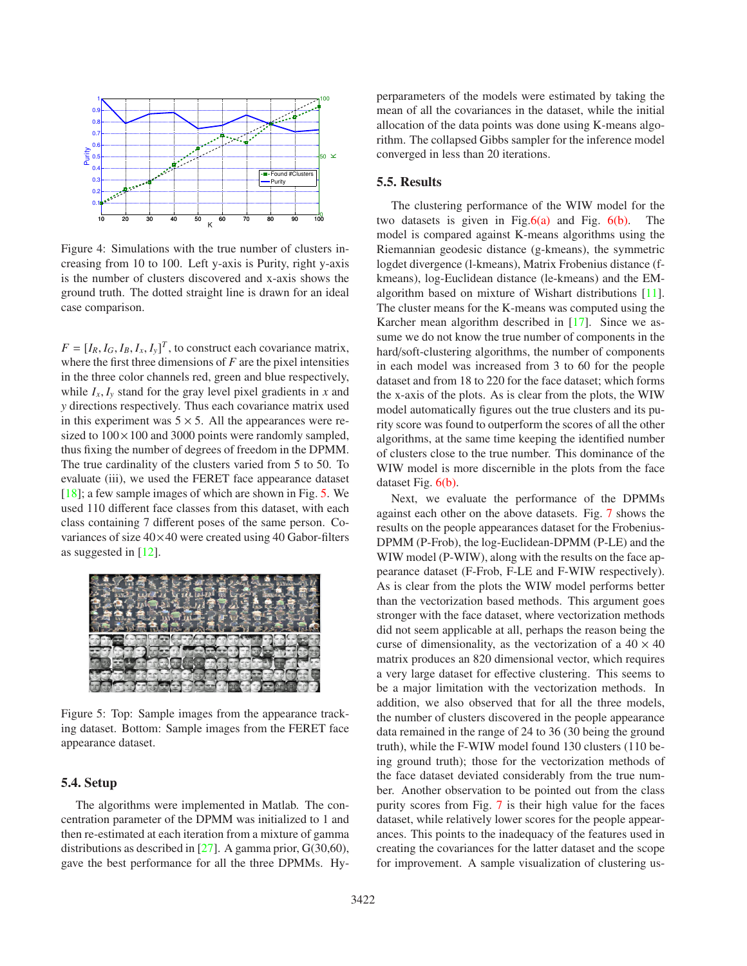<span id="page-5-2"></span><span id="page-5-0"></span>

Figure 4: Simulations with the true number of clusters increasing from 10 to 100. Left y-axis is Purity, right y-axis is the number of clusters discovered and x-axis shows the ground truth. The dotted straight line is drawn for an ideal case comparison.

 $F = [I_R, I_G, I_B, I_x, I_y]^T$ , to construct each covariance matrix, where the first three dimensions of *F* are the pixel intensities in the three color channels red, green and blue respectively, while  $I_x$ ,  $I_y$  stand for the gray level pixel gradients in x and *y* directions respectively. Thus each covariance matrix used in this experiment was  $5 \times 5$ . All the appearances were resized to  $100 \times 100$  and 3000 points were randomly sampled, thus fixing the number of degrees of freedom in the DPMM. The true cardinality of the clusters varied from 5 to 50. To evaluate (iii), we used the FERET face appearance dataset [\[18\]](#page-7-27); a few sample images of which are shown in Fig. [5.](#page-5-1) We used 110 different face classes from this dataset, with each class containing 7 different poses of the same person. Covariances of size 40×40 were created using 40 Gabor-filters as suggested in [\[12\]](#page-7-2).

<span id="page-5-1"></span>

Figure 5: Top: Sample images from the appearance tracking dataset. Bottom: Sample images from the FERET face appearance dataset.

### **5.4. Setup**

The algorithms were implemented in Matlab. The concentration parameter of the DPMM was initialized to 1 and then re-estimated at each iteration from a mixture of gamma distributions as described in  $[27]$ . A gamma prior,  $G(30,60)$ , gave the best performance for all the three DPMMs. Hy-

### **5.5. Results**

The clustering performance of the WIW model for the two datasets is given in Fig. $6(a)$  and Fig.  $6(b)$ . The model is compared against K-means algorithms using the Riemannian geodesic distance (g-kmeans), the symmetric logdet divergence (l-kmeans), Matrix Frobenius distance (fkmeans), log-Euclidean distance (le-kmeans) and the EMalgorithm based on mixture of Wishart distributions [\[11\]](#page-7-8). The cluster means for the K-means was computed using the Karcher mean algorithm described in [\[17\]](#page-7-5). Since we assume we do not know the true number of components in the hard/soft-clustering algorithms, the number of components in each model was increased from 3 to 60 for the people dataset and from 18 to 220 for the face dataset; which forms the x-axis of the plots. As is clear from the plots, the WIW model automatically figures out the true clusters and its purity score was found to outperform the scores of all the other algorithms, at the same time keeping the identified number of clusters close to the true number. This dominance of the WIW model is more discernible in the plots from the face dataset Fig. [6\(b\).](#page-6-2)

Next, we evaluate the performance of the DPMMs against each other on the above datasets. Fig. [7](#page-6-3) shows the results on the people appearances dataset for the Frobenius-DPMM (P-Frob), the log-Euclidean-DPMM (P-LE) and the WIW model (P-WIW), along with the results on the face appearance dataset (F-Frob, F-LE and F-WIW respectively). As is clear from the plots the WIW model performs better than the vectorization based methods. This argument goes stronger with the face dataset, where vectorization methods did not seem applicable at all, perhaps the reason being the curse of dimensionality, as the vectorization of a  $40 \times 40$ matrix produces an 820 dimensional vector, which requires a very large dataset for effective clustering. This seems to be a major limitation with the vectorization methods. In addition, we also observed that for all the three models, the number of clusters discovered in the people appearance data remained in the range of 24 to 36 (30 being the ground truth), while the F-WIW model found 130 clusters (110 being ground truth); those for the vectorization methods of the face dataset deviated considerably from the true number. Another observation to be pointed out from the class purity scores from Fig. [7](#page-6-3) is their high value for the faces dataset, while relatively lower scores for the people appearances. This points to the inadequacy of the features used in creating the covariances for the latter dataset and the scope for improvement. A sample visualization of clustering us-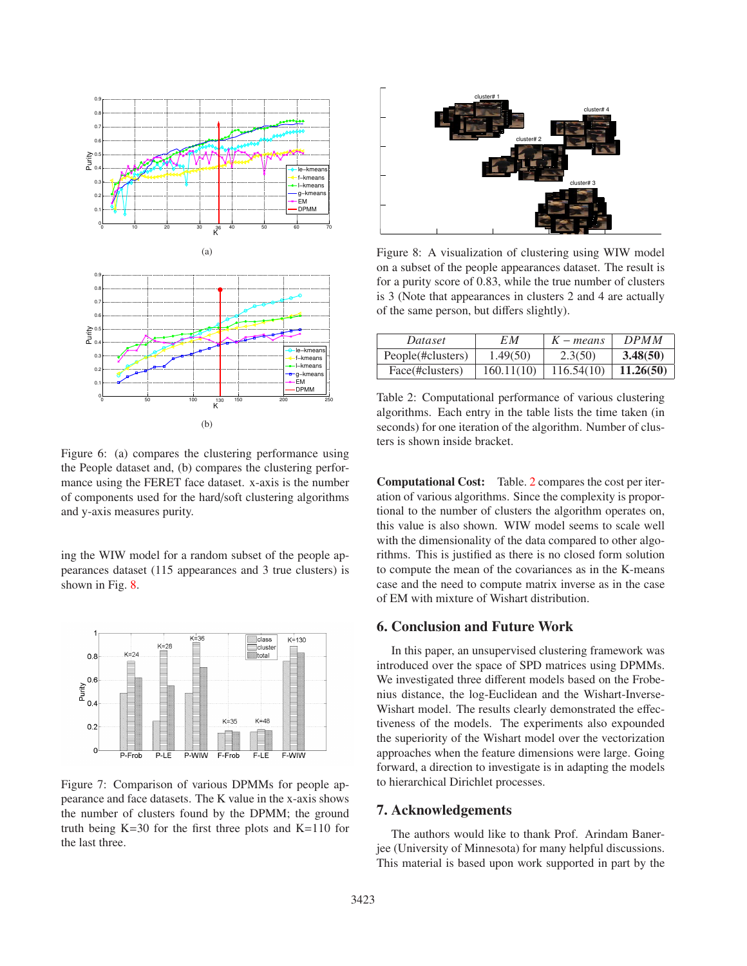<span id="page-6-1"></span>

<span id="page-6-2"></span>Figure 6: (a) compares the clustering performance using the People dataset and, (b) compares the clustering performance using the FERET face dataset. x-axis is the number of components used for the hard/soft clustering algorithms and y-axis measures purity.

ing the WIW model for a random subset of the people appearances dataset (115 appearances and 3 true clusters) is shown in Fig. [8.](#page-6-4)

<span id="page-6-3"></span>

Figure 7: Comparison of various DPMMs for people appearance and face datasets. The K value in the x-axis shows the number of clusters found by the DPMM; the ground truth being  $K=30$  for the first three plots and  $K=110$  for the last three.

<span id="page-6-4"></span>

Figure 8: A visualization of clustering using WIW model on a subset of the people appearances dataset. The result is for a purity score of 0.83, while the true number of clusters is 3 (Note that appearances in clusters 2 and 4 are actually of the same person, but differs slightly).

<span id="page-6-5"></span>

| <i>Dataset</i>    | E M        | $K-means$  | <b>DPMM</b> |
|-------------------|------------|------------|-------------|
| People(#clusters) | 1.49(50)   | 2.3(50)    | 3.48(50)    |
| Face(#clusters)   | 160.11(10) | 116.54(10) | 11.26(50)   |

Table 2: Computational performance of various clustering algorithms. Each entry in the table lists the time taken (in seconds) for one iteration of the algorithm. Number of clusters is shown inside bracket.

**Computational Cost:** Table. [2](#page-6-5) compares the cost per iteration of various algorithms. Since the complexity is proportional to the number of clusters the algorithm operates on, this value is also shown. WIW model seems to scale well with the dimensionality of the data compared to other algorithms. This is justified as there is no closed form solution to compute the mean of the covariances as in the K-means case and the need to compute matrix inverse as in the case of EM with mixture of Wishart distribution.

# <span id="page-6-0"></span>**6. Conclusion and Future Work**

In this paper, an unsupervised clustering framework was introduced over the space of SPD matrices using DPMMs. We investigated three different models based on the Frobenius distance, the log-Euclidean and the Wishart-Inverse-Wishart model. The results clearly demonstrated the effectiveness of the models. The experiments also expounded the superiority of the Wishart model over the vectorization approaches when the feature dimensions were large. Going forward, a direction to investigate is in adapting the models to hierarchical Dirichlet processes.

### **7. Acknowledgements**

The authors would like to thank Prof. Arindam Banerjee (University of Minnesota) for many helpful discussions. This material is based upon work supported in part by the